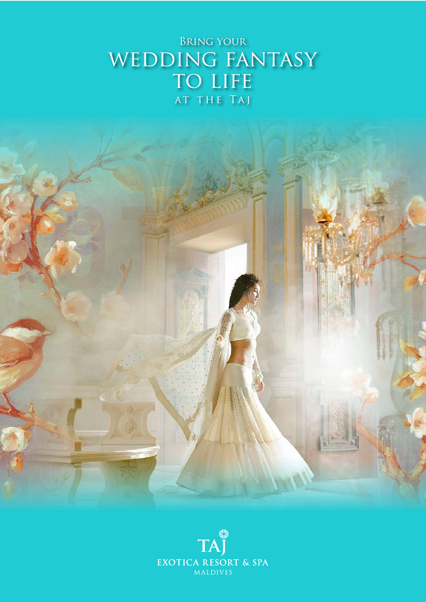# Bring your WEDDING FANTASY TO LIFE at the Taj



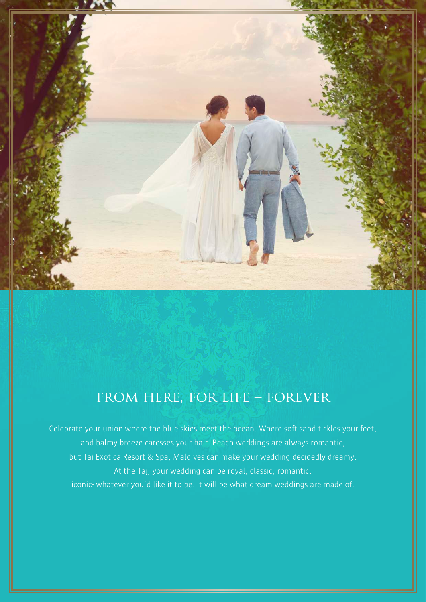

# from here, for life – forever

Celebrate your union where the blue skies meet the ocean. Where soft sand tickles your feet, and balmy breeze caresses your hair. Beach weddings are always romantic, but Taj Exotica Resort & Spa, Maldives can make your wedding decidedly dreamy. At the Taj, your wedding can be royal, classic, romantic, iconic- whatever you'd like it to be. It will be what dream weddings are made of.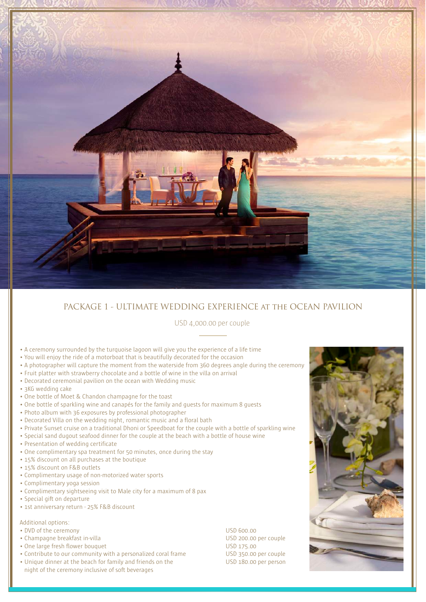

# PACKAGE 1 - ULTIMATE WEDDING EXPERIENCE at the OCEAN PAVILION

## USD 4,000.00 per couple

- A ceremony surrounded by the turquoise lagoon will give you the experience of a life time
- You will enjoy the ride of a motorboat that is beautifully decorated for the occasion
- A photographer will capture the moment from the waterside from 360 degrees angle during the ceremony
- Fruit platter with strawberry chocolate and a bottle of wine in the villa on arrival
- Decorated ceremonial pavilion on the ocean with Wedding music
- 3KG wedding cake
- One bottle of Moet & Chandon champagne for the toast
- One bottle of sparkling wine and canapés for the family and guests for maximum 8 guests
- Photo album with 36 exposures by professional photographer
- Decorated Villa on the wedding night, romantic music and a floral bath
- Private Sunset cruise on a traditional Dhoni or Speedboat for the couple with a bottle of sparkling wine
- Special sand dugout seafood dinner for the couple at the beach with a bottle of house wine
- Presentation of wedding certificate
- One complimentary spa treatment for 50 minutes, once during the stay
- 15% discount on all purchases at the boutique
- 15% discount on F&B outlets
- Complimentary usage of non-motorized water sports
- Complimentary yoga session
- Complimentary sightseeing visit to Male city for a maximum of 8 pax
- Special gift on departure
- 1st anniversary return 25% F&B discount

### Additional options:

- DVD of the ceremony USD 600.00
- Champagne breakfast in-villa USD 200.00 per couple
- One large fresh flower bouquet USD 175.00
- Contribute to our community with a personalized coral frame USD 350.00 per couple
- Unique dinner at the beach for family and friends on the USD 180.00 per person night of the ceremony inclusive of soft beverages

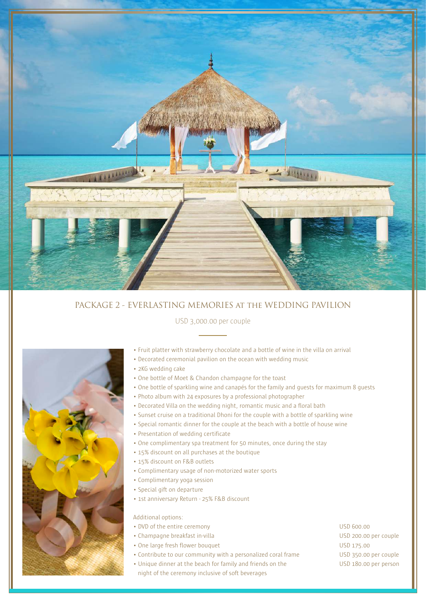

# PACKAGE 2 - EVERLASTING MEMORIES at the WEDDING PAVILION

### USD 3,000.00 per couple



- Fruit platter with strawberry chocolate and a bottle of wine in the villa on arrival
- Decorated ceremonial pavilion on the ocean with wedding music
- 2KG wedding cake
- One bottle of Moet & Chandon champagne for the toast
- One bottle of sparkling wine and canapés for the family and guests for maximum 8 guests
- Photo album with 24 exposures by a professional photographer
- Decorated Villa on the wedding night, romantic music and a floral bath
- Sunset cruise on a traditional Dhoni for the couple with a bottle of sparkling wine
- Special romantic dinner for the couple at the beach with a bottle of house wine
- Presentation of wedding certificate
- One complimentary spa treatment for 50 minutes, once during the stay
- 15% discount on all purchases at the boutique
- 15% discount on F&B outlets
- Complimentary usage of non-motorized water sports
- Complimentary yoga session
- Special gift on departure
- 1st anniversary Return 25% F&B discount

Additional options:

- DVD of the entire ceremony USD 600.00
- Champagne breakfast in-villa USD 200.00 per couple
- One large fresh flower bouquet USD 175.00
- Contribute to our community with a personalized coral frame USD 350.00 per couple
- Unique dinner at the beach for family and friends on the USD 180.00 per person
	- night of the ceremony inclusive of soft beverages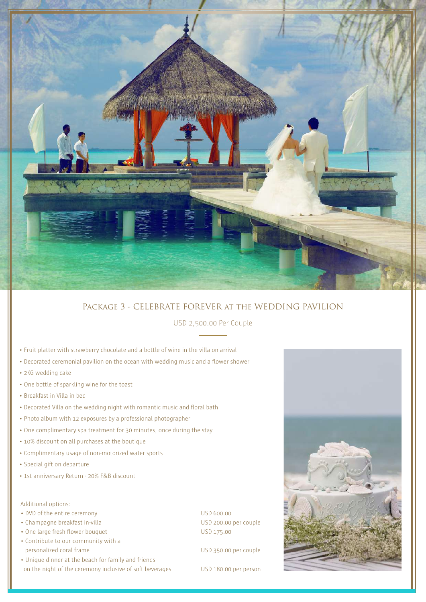

# Package 3 - CELEBRATE FOREVER at the WEDDING PAVILION

USD 2,500.00 Per Couple

- Fruit platter with strawberry chocolate and a bottle of wine in the villa on arrival
- Decorated ceremonial pavilion on the ocean with wedding music and a flower shower
- 2KG wedding cake
- One bottle of sparkling wine for the toast
- Breakfast in Villa in bed
- Decorated Villa on the wedding night with romantic music and floral bath
- Photo album with 12 exposures by a professional photographer
- One complimentary spa treatment for 30 minutes, once during the stay
- 10% discount on all purchases at the boutique
- Complimentary usage of non-motorized water sports
- Special gift on departure
- 1st anniversary Return 20% F&B discount

Additional options:

- DVD of the entire ceremony USD 600.00
- Champagne breakfast in-villa USD 200.00 per couple
- One large fresh flower bouquet USD 175.00
- Contribute to our community with a personalized coral frame Theorem 2003 and USD 350.00 per couple
- Unique dinner at the beach for family and friends on the night of the ceremony inclusive of soft beverages USD 180.00 per person

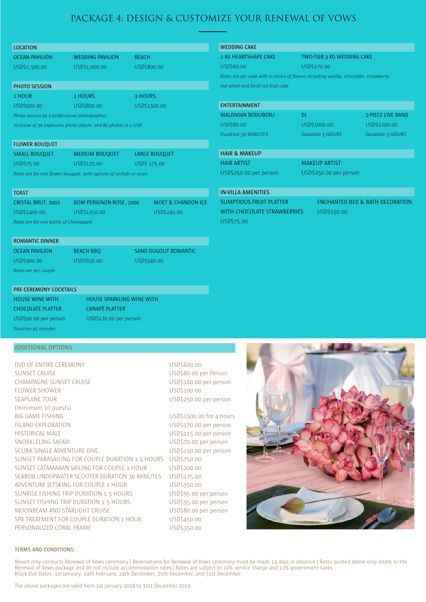# PACKAGE 4: DESIGN & CUSTOMIZE YOUR RENEWAL OF VOWS

| <b>LOCATION</b>                                                    |                         |                      |                               |  |  |
|--------------------------------------------------------------------|-------------------------|----------------------|-------------------------------|--|--|
| <b>OCEAN PAVILION</b>                                              | <b>WEDDING PAVILION</b> | <b>BEACH</b>         |                               |  |  |
| USD\$1,500.00                                                      | USD\$1,000.00           | USD\$800.00          |                               |  |  |
|                                                                    |                         |                      |                               |  |  |
| <b>PHOTO SESSION</b>                                               |                         |                      |                               |  |  |
| 1 HOUR                                                             | 2 HOURS                 |                      | 3 HOURS                       |  |  |
| USD\$500.00                                                        | USD\$800.00             | USD\$1300.00         |                               |  |  |
| Photo session by a professional photographer,                      |                         |                      |                               |  |  |
| inclusive of 36 exposures photo album and 80 photos in 1 USB       |                         |                      |                               |  |  |
|                                                                    |                         |                      |                               |  |  |
| <b>FLOWER BOUQUET</b>                                              |                         |                      |                               |  |  |
| <b>SMALL BOUQUET</b>                                               | MEDIUM BOUQUET          | <b>LARGE BOUQUET</b> |                               |  |  |
| USD\$75.00                                                         | USD\$125.00             | USD\$ 175.00         |                               |  |  |
| Rates are for one flower bouquet, with options of orchids or roses |                         |                      |                               |  |  |
|                                                                    |                         |                      |                               |  |  |
| <b>TOAST</b>                                                       |                         |                      |                               |  |  |
| CRISTAL BRUT, 2002                                                 | DOM PERIGNON ROSE, 2000 |                      | <b>MOET &amp; CHANDON ICE</b> |  |  |
| USD\$1400.00                                                       | USD\$1250.00            |                      | USD\$240.00                   |  |  |

*Rates are for one bottle of Champagne*

### **ROMANTIC DINNER**

USD\$900.00 USD\$650.00 USD\$540.00 *Rates are per couple*

OCEAN PAVILION BEACH BBQ SAND DUGOUT ROMANTIC

## **PRE-CEREMONY COCKTAILS**

HOUSE WINE WITH HOUSE SPARKLING WINE WITH CHOCOLATE PLATTER CANAPÉ PLATTER USD\$90.00 per person USD\$120.00 per person *Duration 45 minutes*

### **WEDDING CAKE**

1 KG HEARTSHAPE CAKE TWO-TIER 3 KG WEDDING CAKE

USD\$60.00 USD\$170.00

*Rates are per cake with a choice of flavors including vanilla, chocolate, strawberry, red velvet and fresh cut fruit cake*

| <b>ENTERTAINMENT</b>       |                         |                         |
|----------------------------|-------------------------|-------------------------|
| <b>MALDIVIAN BODUBERU</b>  | DI                      | 2-PIECE LIVE BAND       |
| USD\$80.00                 | USD\$1000.00            | USD\$1200.00            |
| <b>Duration 30 MINUTES</b> | <b>Duration 3 HOURS</b> | <b>Duration 3 HOURS</b> |
|                            |                         |                         |
| <b>HAIR &amp; MAKEUP</b>   |                         |                         |
| <b>HAIR ARTIST</b>         | <b>MAKEUP ARTIST</b>    |                         |

USD\$250.00 per person USD\$250.00 per person

### **IN-VILLA AMENITIES**

WITH CHOCOLATE STRAWBERRIES USD\$150.00 USD\$75.00

SUMPTIOUS FRUIT PLATTER ENCHANTED BED & BATH DECORATION

# **ADDITIONAL OPTIONS**

DVD OF ENTIRE CEREMONY USD\$600.00 SUNSET CRUISE CONSERVERSITY OF THE USD\$80.00 per Person CHAMPAGNE SUNSET CRUISE USD\$160.00 per person FLOWER SHOWER NOW THE SERVICE SHOWER SHOWER SEAPLANE TOUR USD\$250.00 per person (minimum 10 guests) BIG GAME FISHING USD\$1500.00 for 4 hours ISLAND EXPLORATION USD\$170.00 per person HISTORICAL MALE USD\$115.00 per person SNORKLELING SAFARI USD\$70.00 per person SCUBA SINGLE ADVENTURE DIVE USD\$150.00 per person SUNSET PARASAILING FOR COUPLE DURATION 1.5 HOURS USD\$750.00 SUNSET CATAMARAN SAILING FOR COUPLE 1 HOUR USD\$200.00 SEABOB UNDERWATER SCOOTER DURATION 30 MINUTES USD\$175.00 ADVENTURE JETSKING FOR COUPLE 1 HOUR USD\$350.00 SUNRISE FISHING TRIP DURATION 1.5 HOURS USD\$95.00 per person SUNSET FISHING TRIP DURATION 1.5 HOURS USD\$95.00 per person MOONBEAM AND STARLIGHT CRUISE USD\$80.00 per person SPA TREATMENT FOR COUPLE DURATION 1 HOUR USD\$450.00 PERSONALIZED CORAL FRAME USD\$350.00



### **TERMS AND CONDITIONS:**

Resort only conducts Renewal of Vows ceremony | Reservations for Renewal of Vows ceremony must be made 14 days in advance | Rates quoted above only relate to the Renewal of Vows package and do not include accommodation rates | Rates are subject to 10% service charge and 12% government taxes Black Out Dates: 1st January, 14th February, 24th December, 25th December, and 31st December.